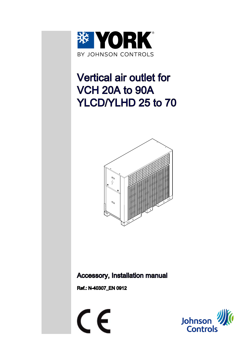

# Vertical air outlet for VCH 20A to 90A YLCD/YLHD 25 to 70



### Accessory, Installation manual

Ref.: N-40307\_EN 0912



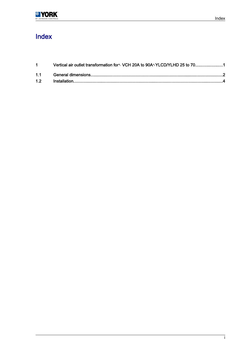# Index

| $1 \quad \blacksquare$ | Vertical air outlet transformation for <sup>n</sup> VCH 20A to 90A <sup>n</sup> YLCD/YLHD 25 to 701 |  |
|------------------------|-----------------------------------------------------------------------------------------------------|--|
|                        |                                                                                                     |  |
|                        |                                                                                                     |  |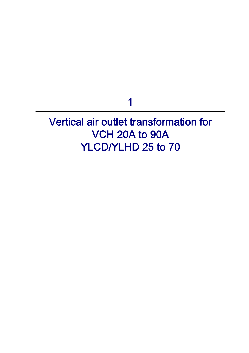1

<span id="page-2-0"></span>Vertical air outlet transformation for VCH 20A to 90A YLCD/YLHD 25 to 70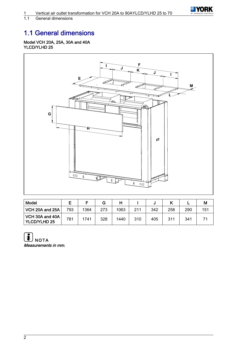

<span id="page-3-0"></span>General dimensions

# 1.1 General dimensions

#### Model VCH 20A, 25A, 30A and 40A YLCD/YLHD 25



| Model                                  |     |      |     |      |     |     |     |     | М   |
|----------------------------------------|-----|------|-----|------|-----|-----|-----|-----|-----|
| VCH 20A and 25A                        | 793 | 1364 | 273 | 1063 | 211 | 342 | 258 | 290 | 151 |
| VCH 30A and 40A<br><b>YLCD/YLHD 25</b> | 781 | 1741 | 328 | 1440 | 310 | 405 | 311 | 341 |     |

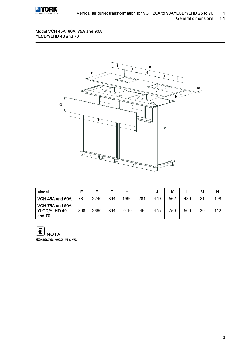

#### Model VCH 45A, 60A, 75A and 90A YLCD/YLHD 40 and 70



| <b>Model</b>                                         |     |      | G   | н    |     |     |     |     | М  | N   |
|------------------------------------------------------|-----|------|-----|------|-----|-----|-----|-----|----|-----|
| VCH 45A and 60A                                      | 781 | 2240 | 394 | 1990 | 281 | 479 | 562 | 439 | 21 | 408 |
| $\sqrt{C}$ VCH 75A and 90A<br>YLCD/YLHD 40<br>and 70 | 898 | 2660 | 394 | 2410 | 45  | 475 | 759 | 500 | 30 | 412 |

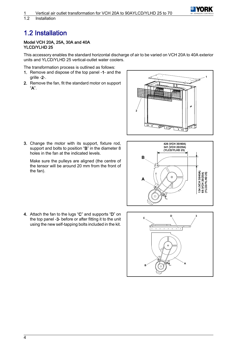

<span id="page-5-0"></span>1.2 Installation

# 1.2 Installation

#### Model VCH 20A, 25A, 30A and 40A YLCD/YLHD 25

This accessory enables the standard horizontal discharge of air to be varied on VCH 20A to 40A exterior units and YLCD/YLHD 25 vertical-outlet water coolers.

The transformation process is outlined as follows:

- 1. Remove and dispose of the top panel ‑1- and the grille ‑2-.
- 2. Remove the fan, fit the standard motor on support "A".



3. Change the motor with its support, fixture rod, support and bolts to position "B" in the diameter 8 holes in the fan at the indicated levels.

Make sure the pulleys are aligned (the centre of the tensor will be around 20 mm from the front of the fan).



4. Attach the fan to the lugs "C" and supports "D" on the top panel -3- before or after fitting it to the unit using the new self-tapping bolts included in the kit.

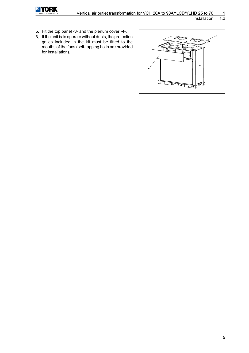

**Installation** 

- 5. Fit the top panel ‑3- and the plenum cover ‑4-.
- 6. If the unit is to operate without ducts, the protection grilles included in the kit must be fitted to the mouths of the fans (self-tapping bolts are provided for installation).

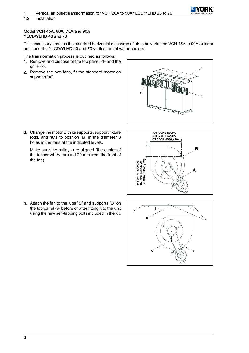

#### 1.2 Installation

#### Model VCH 45A, 60A, 75A and 90A YLCD/YLHD 40 and 70

This accessory enables the standard horizontal discharge of air to be varied on VCH 45A to 90A exterior units and the YLCD/YLHD 40 and 70 vertical-outlet water coolers.

The transformation process is outlined as follows:

- 1. Remove and dispose of the top panel ‑1- and the grille ‑2-.
- 2. Remove the two fans, fit the standard motor on supports "A".



3. Change the motor with its supports, support fixture rods, and nuts to position "B" in the diameter 8 holes in the fans at the indicated levels.

Make sure the pulleys are aligned (the centre of the tensor will be around 20 mm from the front of the fan).



4. Attach the fan to the lugs "C" and supports "D" on the top panel ‑3- before or after fitting it to the unit using the new self-tapping bolts included in the kit.